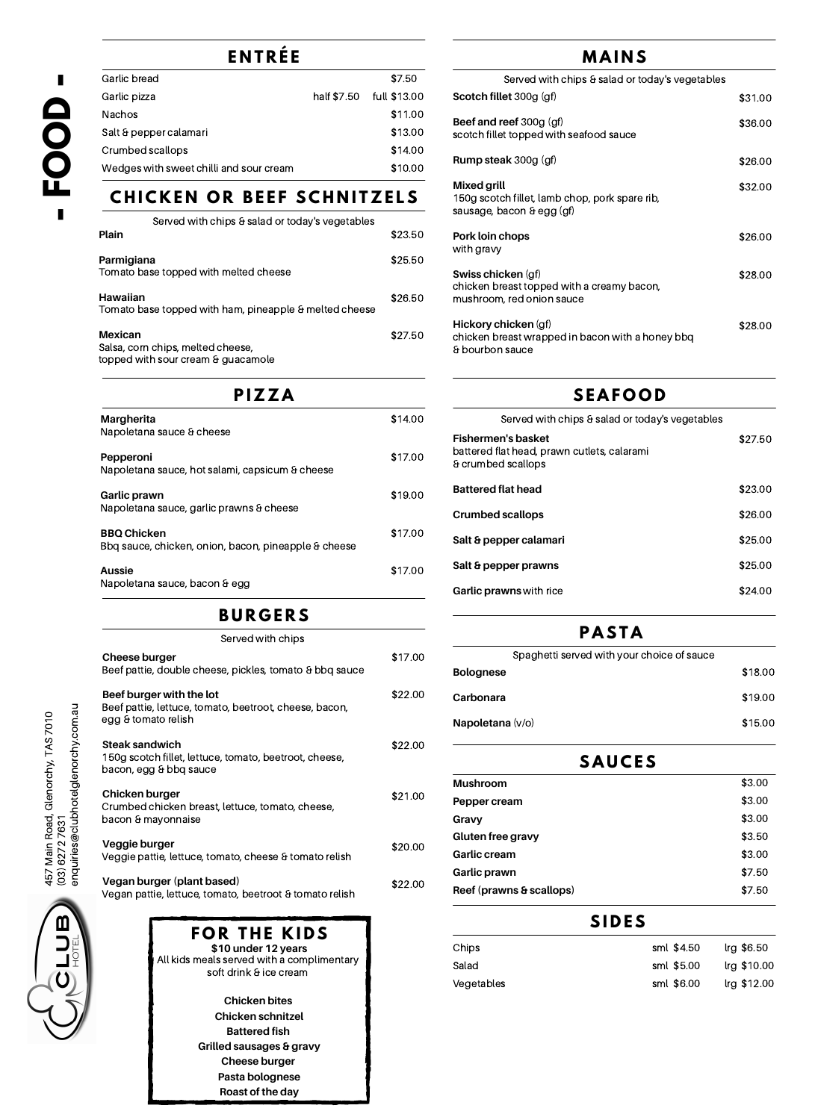chicken breast topped with a creamy bacon, mushroom, red onion sauce

### **Hickory chicken** (gf)

chicken breast wrapped in bacon with a honey bbq & bourbon sauce

\$28.00

**Chicken bites Chicken schnitzel Battered fish Grilled sausages & gravy Cheese burger Pasta bolognese Roast of the day**

**Cheese burger**

Beef pattie, double cheese, pickles, tomato & bbq sauce

### **Beef burger with the lot**

Beef pattie, lettuce, tomato, beetroot, cheese, bacon, egg & tomato relish

### **Steak sandwich**

150g scotch fillet, lettuce, tomato, beetroot, cheese, bacon, egg & bbq sauce

### **Chicken burger**

Crumbed chicken breast, lettuce, tomato, cheese, bacon & mayonnaise

#### **Veggie burger**

Veggie pattie, lettuce, tomato, cheese & tomato relish

#### **Vegan burger (plant based)**

| ENTRÉE                                                                        |             | MAINS        |                                                                                                   |         |
|-------------------------------------------------------------------------------|-------------|--------------|---------------------------------------------------------------------------------------------------|---------|
| <b>Garlic bread</b>                                                           |             | \$7.50       | Served with chips & salad or today's vegetables                                                   |         |
| Garlic pizza                                                                  | half \$7.50 | full \$13.00 | Scotch fillet 300g (gf)                                                                           | \$31.00 |
| <b>Nachos</b>                                                                 |             | \$11.00      | <b>Beef and reef 300g (gf)</b>                                                                    |         |
| Salt & pepper calamari                                                        |             | \$13.00      | scotch fillet topped with seafood sauce                                                           | \$36.00 |
| <b>Crumbed scallops</b>                                                       |             | \$14.00      |                                                                                                   |         |
| Wedges with sweet chilli and sour cream                                       |             | \$10.00      | <b>Rump steak 300g (gf)</b>                                                                       | \$26.00 |
| CHICKEN OR BEEF SCHNITZELS<br>Served with chips & salad or today's vegetables |             |              | <b>Mixed grill</b><br>150g scotch fillet, lamb chop, pork spare rib,<br>sausage, bacon & egg (gf) | \$32.00 |
| <b>Plain</b>                                                                  |             | \$23.50      | <b>Pork loin chops</b><br>with gravy                                                              | \$26.00 |
| Parmigiana                                                                    |             | \$25.50      |                                                                                                   |         |
| Tomato base topped with melted cheese                                         |             |              | <b>Swiss chicken (gf)</b>                                                                         | \$28.00 |

Vegan pattie, lettuce, tomato, beetroot & tomato relish



All kids meals served with a complimentary soft drink & ice cream **\$10 under 12 years**

**Hawaiian**

Tomato base topped with ham, pineapple & melted cheese

#### **Mexican**

Salsa, corn chips, melted cheese, topped with sour cream & guacamole

# **B U R G E R S**

#### Served with chips

## **P A S T A**

**P I Z Z A S E A F O O D** Served with chips & salad or today's vegetables **Fishermen's basket** battered flat head, prawn cutlets, calarami & crumbed scallops **Battered flat head Crumbed scallops Salt & pepper calamari** \$27.50 \$23.00 \$26.00 \$25.00 **Margherita** Napoletana sauce & cheese **Pepperoni** Napoletana sauce, hot salami, capsicum & cheese **Garlic prawn** Napoletana sauce, garlic prawns & cheese **BBQ Chicken** Bbq sauce, chicken, onion, bacon, pineapple & cheese \$14.00 \$17.00 \$19.00 \$17.00

### **S I D E S**

# **F O R T H E K I D S**



| Chips      | sml \$4.50 | Irg \$6.50  |
|------------|------------|-------------|
| Salad      | sml \$5.00 | lrg \$10.00 |
| Vegetables | sml \$6.00 | lrg \$12.00 |

\$26.50

\$27.50

| \$17.00 | Spaghetti served with your choice of sauce |         |  |  |  |
|---------|--------------------------------------------|---------|--|--|--|
|         | <b>Bolognese</b>                           | \$18.00 |  |  |  |
| \$22.00 | Carbonara                                  | \$19.00 |  |  |  |
|         | <b>Napoletana</b> (v/o)                    | \$15.00 |  |  |  |
| \$22.00 |                                            |         |  |  |  |
|         | <b>SAUCES</b>                              |         |  |  |  |
| \$21.00 | <b>Mushroom</b>                            | \$3.00  |  |  |  |
|         | <b>Pepper cream</b>                        | \$3.00  |  |  |  |
|         | Gravy                                      | \$3.00  |  |  |  |
| \$20.00 | <b>Gluten free gravy</b>                   | \$3.50  |  |  |  |
|         | <b>Garlic cream</b>                        | \$3.00  |  |  |  |
| \$22.00 | <b>Garlic prawn</b>                        | \$7.50  |  |  |  |
|         | Reef (prawns & scallops)                   | \$7.50  |  |  |  |

**Garlic prawns** with rice



\$24.00

**Aussie** Napoletana sauce, bacon & egg \$17.00